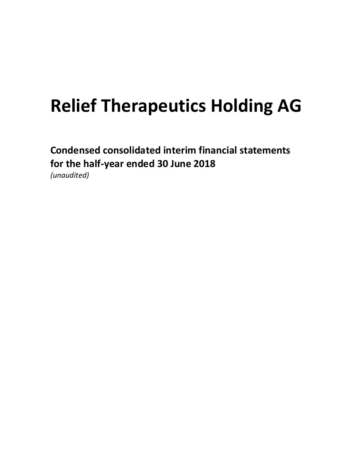Condensed consolidated interim financial statements for the half-year ended 30 June 2018 (unaudited)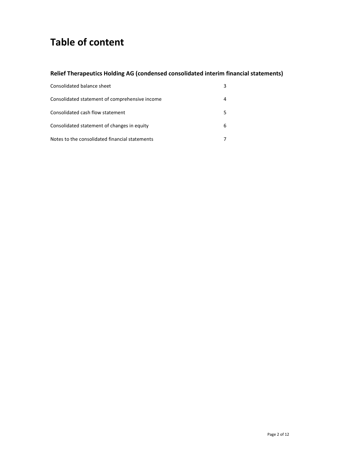## Table of content

### Relief Therapeutics Holding AG (condensed consolidated interim financial statements)

| Consolidated balance sheet                     | 3 |
|------------------------------------------------|---|
| Consolidated statement of comprehensive income |   |
| Consolidated cash flow statement               |   |
| Consolidated statement of changes in equity    | 6 |
| Notes to the consolidated financial statements |   |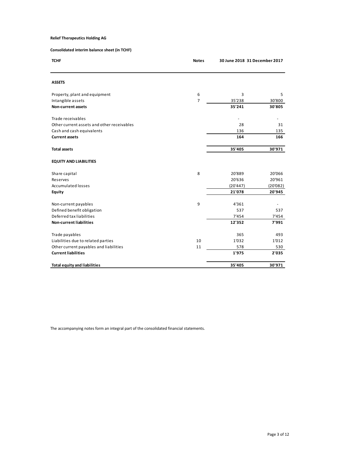| <b>Relief Therapeutics Holding AG</b><br>30 June 2018 31 December 2017<br><b>TCHF</b><br><b>Notes</b><br><b>ASSETS</b><br>Property, plant and equipment<br>6<br>3<br>5<br>$\overline{7}$<br>35'238<br>Intangible assets<br>30'800<br>35'241<br>30'805<br>Non-current assets<br>$\overline{\phantom{a}}$<br>÷,<br>Other current assets and other receivables<br>28<br>31<br>Cash and cash equivalents<br>136<br>135<br>164<br>166<br><b>Current assets</b><br>35'405<br>30'971<br><b>Total assets</b><br><b>EQUITY AND LIABILITIES</b><br>$\bf 8$<br>20'889<br>20'066<br>20'636<br>20'961<br>Reserves<br>(20'447)<br>Accumulated losses<br>(20'082)<br>21'078<br>20'945<br>Equity |
|----------------------------------------------------------------------------------------------------------------------------------------------------------------------------------------------------------------------------------------------------------------------------------------------------------------------------------------------------------------------------------------------------------------------------------------------------------------------------------------------------------------------------------------------------------------------------------------------------------------------------------------------------------------------------------|
| Consolidated interim balance sheet (in TCHF)<br>Trade receivables<br>Share capital                                                                                                                                                                                                                                                                                                                                                                                                                                                                                                                                                                                               |
|                                                                                                                                                                                                                                                                                                                                                                                                                                                                                                                                                                                                                                                                                  |
|                                                                                                                                                                                                                                                                                                                                                                                                                                                                                                                                                                                                                                                                                  |
|                                                                                                                                                                                                                                                                                                                                                                                                                                                                                                                                                                                                                                                                                  |
|                                                                                                                                                                                                                                                                                                                                                                                                                                                                                                                                                                                                                                                                                  |
|                                                                                                                                                                                                                                                                                                                                                                                                                                                                                                                                                                                                                                                                                  |
|                                                                                                                                                                                                                                                                                                                                                                                                                                                                                                                                                                                                                                                                                  |
|                                                                                                                                                                                                                                                                                                                                                                                                                                                                                                                                                                                                                                                                                  |
|                                                                                                                                                                                                                                                                                                                                                                                                                                                                                                                                                                                                                                                                                  |
|                                                                                                                                                                                                                                                                                                                                                                                                                                                                                                                                                                                                                                                                                  |
|                                                                                                                                                                                                                                                                                                                                                                                                                                                                                                                                                                                                                                                                                  |
|                                                                                                                                                                                                                                                                                                                                                                                                                                                                                                                                                                                                                                                                                  |
|                                                                                                                                                                                                                                                                                                                                                                                                                                                                                                                                                                                                                                                                                  |
|                                                                                                                                                                                                                                                                                                                                                                                                                                                                                                                                                                                                                                                                                  |
|                                                                                                                                                                                                                                                                                                                                                                                                                                                                                                                                                                                                                                                                                  |
|                                                                                                                                                                                                                                                                                                                                                                                                                                                                                                                                                                                                                                                                                  |
|                                                                                                                                                                                                                                                                                                                                                                                                                                                                                                                                                                                                                                                                                  |
| $\boldsymbol{9}$<br>Non-current payables<br>4'361<br>$\sim$                                                                                                                                                                                                                                                                                                                                                                                                                                                                                                                                                                                                                      |
| Defined benefit obligation<br>537<br>537                                                                                                                                                                                                                                                                                                                                                                                                                                                                                                                                                                                                                                         |
| Deferred tax liabilities<br>7'454<br>7'454                                                                                                                                                                                                                                                                                                                                                                                                                                                                                                                                                                                                                                       |
| 12'352<br>Non-current liabilities<br>7'991                                                                                                                                                                                                                                                                                                                                                                                                                                                                                                                                                                                                                                       |
| Trade payables<br>365<br>493                                                                                                                                                                                                                                                                                                                                                                                                                                                                                                                                                                                                                                                     |
| Liabilities due to related parties<br>$10\,$<br>1'032<br>1'012<br>$11\,$<br>578<br>Other current payables and liabilities<br>530                                                                                                                                                                                                                                                                                                                                                                                                                                                                                                                                                 |
| 1'975<br>2'035<br><b>Current liabilities</b>                                                                                                                                                                                                                                                                                                                                                                                                                                                                                                                                                                                                                                     |
| 35'405<br>30'971<br><b>Total equity and liabilities</b>                                                                                                                                                                                                                                                                                                                                                                                                                                                                                                                                                                                                                          |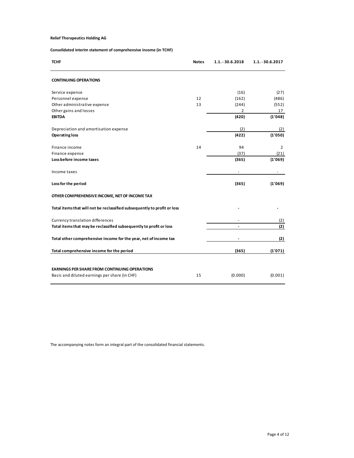#### Consolidated interim statement of comprehensive income (in TCHF)

| <b>Relief Therapeutics Holding AG</b>                                    |          |                          |                          |
|--------------------------------------------------------------------------|----------|--------------------------|--------------------------|
| Consolidated interim statement of comprehensive income (in TCHF)         |          |                          |                          |
| <b>TCHF</b>                                                              | Notes    | 1.1. - 30.6.2018         | 1.1. - 30.6.2017         |
|                                                                          |          |                          |                          |
| <b>CONTINUING OPERATIONS</b>                                             |          |                          |                          |
| Service expense                                                          |          | (16)                     | (27)                     |
| Personnel expense<br>Other administrative expense                        | 12<br>13 | (162)<br>(244)           | (486)<br>(552)           |
| Other gains and losses                                                   |          | $\overline{2}$           | 17                       |
| EBITDA                                                                   |          | (420)                    | (1'048)                  |
| Depreciation and amortisation expense                                    |          | (2)                      | (2)                      |
| <b>Operating loss</b>                                                    |          | (422)                    | (1'050)                  |
| Finance income                                                           | 14       | 94                       | $\overline{2}$           |
| Finance expense<br>Loss before income taxes                              |          | (37)<br>(365)            | (21)<br>(1'069)          |
| Income taxes                                                             |          | $\overline{\phantom{a}}$ | $\overline{\phantom{a}}$ |
|                                                                          |          |                          |                          |
| Loss for the period                                                      |          | (365)                    | (1'069)                  |
| OTHER COMPREHENSIVE INCOME, NET OF INCOME TAX                            |          |                          |                          |
| Total items that will not be reclassified subsequently to profit or loss |          |                          |                          |
| Currency translation differences                                         |          |                          | (2)                      |
| Total items that may be reclassified subsequently to profit or loss      |          | $\blacksquare$           | (2)                      |
| Total other comprehensive income for the year, net of income tax         |          |                          | (2)                      |
| Total comprehensive income for the period                                |          | (365)                    | (1'071)                  |
|                                                                          |          |                          |                          |
| <b>EARNINGS PER SHARE FROM CONTINUING OPERATIONS</b>                     |          |                          |                          |
| Basic and diluted earnings per share (in CHF)                            | 15       | (0.000)                  | (0.001)                  |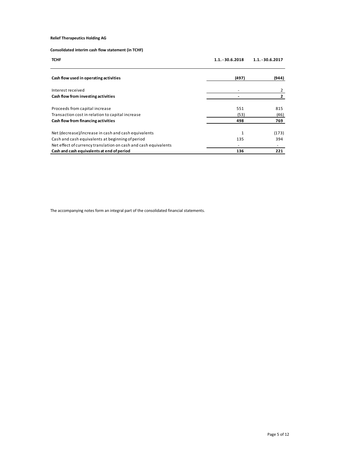| <b>Relief Therapeutics Holding AG</b>                                                                         |                    |                  |
|---------------------------------------------------------------------------------------------------------------|--------------------|------------------|
|                                                                                                               |                    |                  |
| Consolidated interim cash flow statement (in TCHF)                                                            |                    |                  |
| <b>TCHF</b>                                                                                                   | $1.1. - 30.6.2018$ | 1.1. - 30.6.2017 |
|                                                                                                               |                    |                  |
| Cash flow used in operating activities                                                                        | (497)              | (944)            |
|                                                                                                               |                    |                  |
|                                                                                                               |                    |                  |
| Interest received                                                                                             | $\sim$             | $\overline{2}$   |
| Cash flow from investing activities                                                                           | $\sim$             | $\mathbf{2}$     |
|                                                                                                               |                    |                  |
| Proceeds from capital increase                                                                                | 551<br>(53)        | 815              |
| Transaction cost in relation to capital increase<br>Cash flow from financing activities                       | 498                | (46)<br>769      |
|                                                                                                               |                    |                  |
| Net (decrease)/increase in cash and cash equivalents                                                          | $\mathbf{1}$       | (173)            |
| Cash and cash equivalents at beginning of period                                                              | 135<br>$\sim$      | 394<br>$\sim$    |
| Net effect of currency translation on cash and cash equivalents<br>Cash and cash equivalents at end of period | 136                | 221              |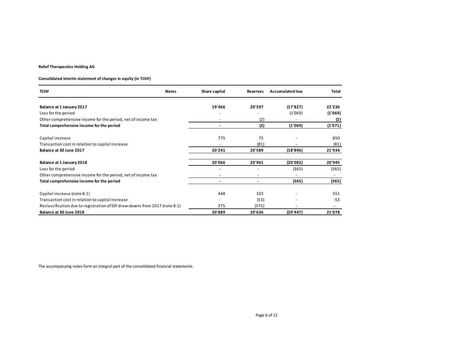#### Consolidated interim statement of changes in equity (in TCHF)

| <b>Relief Therapeutics Holding AG</b>                                                                  |                      |                 |                             |                                |
|--------------------------------------------------------------------------------------------------------|----------------------|-----------------|-----------------------------|--------------------------------|
|                                                                                                        |                      |                 |                             |                                |
|                                                                                                        |                      |                 |                             |                                |
| Consolidated interim statement of changes in equity (in TCHF)                                          |                      |                 |                             |                                |
|                                                                                                        |                      |                 |                             |                                |
| <b>TCHF</b><br><b>Notes</b>                                                                            | Share capital        |                 | Reserves Accumulated loss   | Total                          |
|                                                                                                        |                      |                 |                             |                                |
|                                                                                                        |                      |                 |                             |                                |
| Balance at 1 January 2017                                                                              | 19'466               | 20'597          | (17'827)                    | 22'236                         |
| Loss for the period                                                                                    |                      | $\sim$          | (1'069)                     | (1'069)                        |
| Other comprehensive income for the period, net of income tax                                           | $\sim$               | (2)             |                             | (2)                            |
| Total comprehensive income for the period                                                              | $\sim$               | (2)             | (1'069)                     | (1'071)                        |
|                                                                                                        |                      |                 |                             |                                |
| Capital increase                                                                                       | 775                  | $75\,$          |                             | 850                            |
| Transaction cost in relation to capital increase                                                       | $\sim$               | (81)            |                             | (81)                           |
| Balance at 30 June 2017                                                                                | 20'241               | 20'589          | (18'896)                    | 21'934                         |
|                                                                                                        |                      |                 |                             |                                |
|                                                                                                        |                      |                 |                             |                                |
| Balance at 1 January 2018                                                                              | 20'066               | 20'961          | (20'082)                    | 20'945                         |
| Loss for the period                                                                                    | $\sim$               | $\sim$          | (365)                       | (365)                          |
| Other comprehensive income for the period, net of income tax                                           | $\sim$               | $\sim$          | $\sim$                      | $\sim$                         |
| Total comprehensive income for the period                                                              | $\sim$               | $\sim$          | (365)                       | (365)                          |
|                                                                                                        |                      |                 |                             |                                |
| Capital increase (note 8.1)                                                                            | 448                  | 103             |                             | 551                            |
| Transaction cost in relation to capital increase                                                       | $\sim$               | (53)            |                             | $-53$                          |
| Reclassification due to registration of SSF draw-downs from 2017 (note 8.1)<br>Balance at 30 June 2018 | <u>375</u><br>20'889 | (375)<br>20'636 | <b>Contract</b><br>(20'447) | $\frac{1}{\sqrt{2}}$<br>21'078 |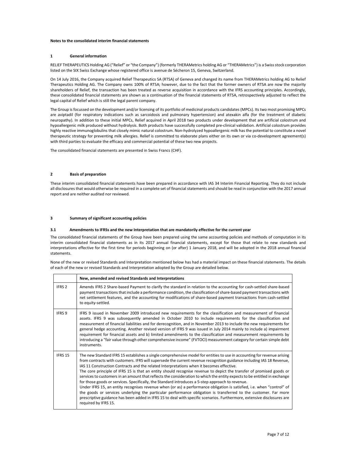#### Notes to the consolidated interim financial statements

#### 1 General information

RELIEF THERAPEUTICS Holding AG ("Relief" or "the Company") (formerly THERAMetrics holding AG or "THERAMetrics") is a Swiss stock corporation listed on the SIX Swiss Exchange whose registered office is avenue de Sécheron 15, Geneva, Switzerland.

On 14 July 2016, the Company acquired Relief Therapeutics SA (RTSA) of Geneva and changed its name from THERAMetrics holding AG to Relief Therapeutics Holding AG. The Company owns 100% of RTSA; however, due to the fact that the former owners of RTSA are now the majority shareholders of Relief, the transaction has been treated as reverse acquisition in accordance with the IFRS accounting principles. Accordingly, these consolidated financial statements are shown as a continuation of the financial statements of RTSA, retrospectively adjusted to reflect the legal capital of Relief which is still the legal parent company.

The Group is focussed on the development and/or licensing of its portfolio of medicinal products candidates (MPCs). Its two most promising MPCs are aviptadil (for respiratory indications such as sarcoidosis and pulmonary hypertension) and atexakin alfa (for the treatment of diabetic neuropathy). In addition to these initial MPCs, Relief acquired in April 2018 two products under development that are artificial colostrum and hypoallergenic milk produced without hydrolysis. Both products have successfully completed pre-clinical validation. Artificial colostrum provides highly reactive immunoglobulins that closely mimic natural colostrum. Non-hydrolyzed hypoallergenic milk has the potential to constitute a novel therapeutic strategy for preventing milk allergies. Relief is committed to elaborate plans either on its own or via co-development agreement(s) with third parties to evaluate the efficacy and commercial potential of these two new projects.

The consolidated financial statements are presented in Swiss Francs (CHF).

#### 2 Basis of preparation

These interim consolidated financial statements have been prepared in accordance with IAS 34 Interim Financial Reporting. They do not include all disclosures that would otherwise be required in a complete set of financial statements and should be read in conjunction with the 2017 annual report and are neither audited nor reviewed.

#### 3 Summary of significant accounting policies

#### 3.1 Amendments to IFRSs and the new Interpretation that are mandatorily effective for the current year

The consolidated financial statements of the Group have been prepared using the same accounting policies and methods of computation in its interim consolidated financial statements as in its 2017 annual financial statements, except for those that relate to new standards and interpretations effective for the first time for periods beginning on (or after) 1 January 2018, and will be adopted in the 2018 annual financial statements.

None of the new or revised Standards and Interpretation mentioned below has had a material impact on these financial statements. The details of each of the new or revised Standards and Interpretation adopted by the Group are detailed below.

|                   | New, amended and revised Standards and Interpretations                                                                                                                                                                                                                                                                                                                                                                                                                                                                                                                                                                                                                                                                                                                                                                                                                                                                                                                                                                                                                                                |
|-------------------|-------------------------------------------------------------------------------------------------------------------------------------------------------------------------------------------------------------------------------------------------------------------------------------------------------------------------------------------------------------------------------------------------------------------------------------------------------------------------------------------------------------------------------------------------------------------------------------------------------------------------------------------------------------------------------------------------------------------------------------------------------------------------------------------------------------------------------------------------------------------------------------------------------------------------------------------------------------------------------------------------------------------------------------------------------------------------------------------------------|
| IFRS <sub>2</sub> | Amends IFRS 2 Share-based Payment to clarify the standard in relation to the accounting for cash-settled share-based<br>payment transactions that include a performance condition, the classification of share-based payment transactions with<br>net settlement features, and the accounting for modifications of share-based payment transactions from cash-settled<br>to equity-settled.                                                                                                                                                                                                                                                                                                                                                                                                                                                                                                                                                                                                                                                                                                           |
| IFRS 9            | IFRS 9 issued in November 2009 introduced new requirements for the classification and measurement of financial<br>assets. IFRS 9 was subsequently amended in October 2010 to include requirements for the classification and<br>measurement of financial liabilities and for derecognition, and in November 2013 to include the new requirements for<br>general hedge accounting. Another revised version of IFRS 9 was issued in July 2014 mainly to include a) impairment<br>requirement for financial assets and b) limited amendments to the classification and measurement requirements by<br>introducing a "fair value through other comprehensive income" (FVTOCI) measurement category for certain simple debt<br>instruments.                                                                                                                                                                                                                                                                                                                                                                |
| IFRS 15           | The new Standard IFRS 15 establishes a single comprehensive model for entities to use in accounting for revenue arising<br>from contracts with customers. IFRS will supersede the current revenue recognition guidance including IAS 18 Revenue,<br>IAS 11 Construction Contracts and the related Interpretations when it becomes effective.<br>The core principle of IFRS 15 is that an entity should recognise revenue to depict the transfer of promised goods or<br>services to customers in an amount that reflects the consideration to which the entity expects to be entitled in exchange<br>for those goods or services. Specifically, the Standard introduces a 5-step approach to revenue.<br>Under IFRS 15, an entity recognises revenue when (or as) a performance obligation is satisfied, i.e. when "control" of<br>the goods or services underlying the particular performance obligation is transferred to the customer. Far more<br>prescriptive guidance has been added in IFRS 15 to deal with specific scenarios. Furthermore, extensive disclosures are<br>required by IFRS 15. |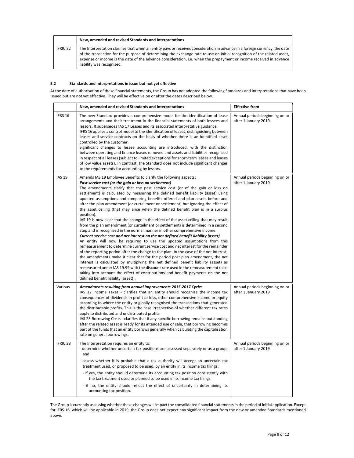|                     | New, amended and revised Standards and Interpretations                                                                                                                                                                                                                                                                                                                                                   |
|---------------------|----------------------------------------------------------------------------------------------------------------------------------------------------------------------------------------------------------------------------------------------------------------------------------------------------------------------------------------------------------------------------------------------------------|
| IFRIC <sub>22</sub> | The Interpretation clarifies that when an entity pays or receives consideration in advance in a foreign currency, the date<br>of the transaction for the purpose of determining the exchange rate to use on initial recognition of the related asset,<br>expense or income is the date of the advance consideration, i.e. when the prepayment or income received in advance<br>liability was recognised. |

#### 3.2 Standards and Interpretations in issue but not yet effective

At the date of authorisation of these financial statements, the Group has not adopted the following Standards and Interpretations that have been issued but are not yet effective. They will be effective on or after the dates described below.

|                     | New, amended and revised Standards and Interpretations                                                                                                                                                                                                                                                                                                                                                                                                                                                                                                                                                                                                                                                                                                                                                                                                                                                                                                                                                                                                                                                                                                                                                                                                                                                                                                                                                                                                                                                                                                                      | <b>Effective from</b>                                  |  |
|---------------------|-----------------------------------------------------------------------------------------------------------------------------------------------------------------------------------------------------------------------------------------------------------------------------------------------------------------------------------------------------------------------------------------------------------------------------------------------------------------------------------------------------------------------------------------------------------------------------------------------------------------------------------------------------------------------------------------------------------------------------------------------------------------------------------------------------------------------------------------------------------------------------------------------------------------------------------------------------------------------------------------------------------------------------------------------------------------------------------------------------------------------------------------------------------------------------------------------------------------------------------------------------------------------------------------------------------------------------------------------------------------------------------------------------------------------------------------------------------------------------------------------------------------------------------------------------------------------------|--------------------------------------------------------|--|
| IFRS 16             | The new Standard provides a comprehensive model for the identification of lease<br>arrangements and their treatment in the financial statements of both lessees and<br>lessors. It supersedes IAS 17 Leases and its associated interpretative guidance.<br>IFRS 16 applies a control model to the identification of leases, distinguishing between<br>leases and service contracts on the basis of whether there is an identified asset<br>controlled by the customer.<br>Significant changes to lessee accounting are introduced, with the distinction<br>between operating and finance leases removed and assets and liabilities recognised<br>in respect of all leases (subject to limited exceptions for short-term leases and leases<br>of low value assets). In contrast, the Standard does not include significant changes<br>to the requirements for accounting by lessors.                                                                                                                                                                                                                                                                                                                                                                                                                                                                                                                                                                                                                                                                                         | Annual periods beginning on or<br>after 1 January 2019 |  |
| <b>IAS 19</b>       | Amends IAS 19 Employee Benefits to clarify the following aspects:<br>Past service cost (or the gain or loss on settlement)<br>The amendments clarify that the past service cost (or of the gain or loss on<br>settlement) is calculated by measuring the defined benefit liability (asset) using<br>updated assumptions and comparing benefits offered and plan assets before and<br>after the plan amendment (or curtailment or settlement) but ignoring the effect of<br>the asset ceiling (that may arise when the defined benefit plan is in a surplus<br>position).<br>IAS 19 is now clear that the change in the effect of the asset ceiling that may result<br>from the plan amendment (or curtailment or settlement) is determined in a second<br>step and is recognised in the normal manner in other comprehensive income.<br>Current service cost and net interest on the net defined benefit liability (asset)<br>An entity will now be required to use the updated assumptions from this<br>remeasurement to determine current service cost and net interest for the remainder<br>of the reporting period after the change to the plan. In the case of the net interest,<br>the amendments make it clear that for the period post plan amendment, the net<br>interest is calculated by multiplying the net defined benefit liability (asset) as<br>remeasured under IAS 19.99 with the discount rate used in the remeasurement (also<br>taking into account the effect of contributions and benefit payments on the net<br>defined benefit liability (asset)). | Annual periods beginning on or<br>after 1 January 2019 |  |
| Various             | Amendments resulting from annual improvements 2015-2017 Cycle:<br>IAS 12 Income Taxes - clarifies that an entity should recognise the income tax<br>consequences of dividends in profit or loss, other comprehensive income or equity<br>according to where the entity originally recognised the transactions that generated<br>the distributable profits. This is the case irrespective of whether different tax rates<br>apply to distributed and undistributed profits.<br>IAS 23 Borrowing Costs - clarifies that if any specific borrowing remains outstanding<br>after the related asset is ready for its intended use or sale, that borrowing becomes<br>part of the funds that an entity borrows generally when calculating the capitalisation<br>rate on general borrowings.                                                                                                                                                                                                                                                                                                                                                                                                                                                                                                                                                                                                                                                                                                                                                                                       | Annual periods beginning on or<br>after 1 January 2019 |  |
| IFRIC <sub>23</sub> | The Interpretation requires an entity to:<br>- determine whether uncertain tax positions are assessed separately or as a group;<br>and<br>- assess whether it is probable that a tax authority will accept an uncertain tax<br>treatment used, or proposed to be used, by an entity in its income tax filings:<br>- if yes, the entity should determine its accounting tax position consistently with<br>the tax treatment used or planned to be used in its income tax filings<br>- if no, the entity should reflect the effect of uncertainty in determining its<br>accounting tax position.                                                                                                                                                                                                                                                                                                                                                                                                                                                                                                                                                                                                                                                                                                                                                                                                                                                                                                                                                                              | Annual periods beginning on or<br>after 1 January 2019 |  |

The Group is currently assessing whether these changes will impact the consolidated financial statements in the period of initial application. Except for IFRS 16, which will be applicable in 2019, the Group does not expect any significant impact from the new or amended Standards mentioned above.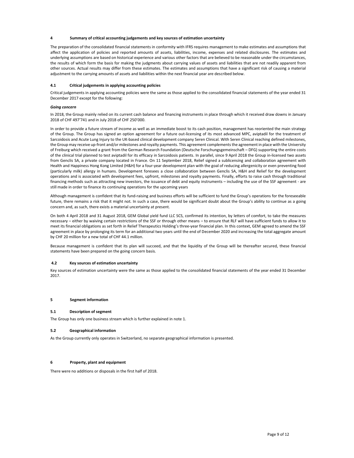#### Summary of critical accounting judgements and key sources of estimation uncertainty

The preparation of the consolidated financial statements in conformity with IFRS requires management to make estimates and assumptions that affect the application of policies and reported amounts of assets, liabilities, income, expenses and related disclosures. The estimates and underlying assumptions are based on historical experience and various other factors that are believed to be reasonable under the circumstances, the results of which form the basis for making the judgments about carrying values of assets and liabilities that are not readily apparent from other sources. Actual results may differ from these estimates. The estimates and assumptions that have a significant risk of causing a material adjustment to the carrying amounts of assets and liabilities within the next financial year are described below.

#### 4.1 Critical judgements in applying accounting policies

Critical judgements in applying accounting policies were the same as those applied to the consolidated financial statements of the year ended 31 December 2017 except for the following:

#### Going concern

In 2018, the Group mainly relied on its current cash balance and financing instruments in place through which it received draw downs in January 2018 of CHF 497'741 and in July 2018 of CHF 250'000.

In order to provide a future stream of income as well as an immediate boost to its cash position, management has reoriented the main strategy of the Group. The Group has signed an option agreement for a future out-licensing of its most advanced MPC, aviptadil for the treatment of Sarcoidosis and Acute Lung Injury to the UK-based clinical development company Seren Clinical. With Seren Clinical reaching defined milestones, the Group may receive up-front and/or milestones and royalty payments. This agreement complements the agreement in place with the University of Freiburg which received a grant from the German Research Foundation (Deutsche Forschungsgemeinschaft – DFG) supporting the entire costs of the clinical trial planned to test aviptadil for its efficacy in Sarcoidosis patients. In parallel, since 9 April 2018 the Group in-licensed two assets from Genclis SA, a private company located in France. On 11 September 2018, Relief signed a sublicensing and collaboration agreement with Health and Happiness Hong Kong Limited (H&H) for a four-year development plan with the goal of reducing allergenicity or even preventing food (particularly milk) allergy in humans. Development foresees a close collaboration between Genclis SA, H&H and Relief for the development operations and is associated with development fees, upfront, milestones and royalty payments. Finally, efforts to raise cash through traditional financing methods such as attracting new investors, the issuance of debt and equity instruments – including the use of the SSF agreement - are still made in order to finance its continuing operations for the upcoming years

Although management is confident that its fund-raising and business efforts will be sufficient to fund the Group's operations for the foreseeable future, there remains a risk that it might not. In such a case, there would be significant doubt about the Group's ability to continue as a going concern and, as such, there exists a material uncertainty at present.

On both 4 April 2018 and 31 August 2018, GEM Global yield fund LLC SCS, confirmed its intention, by letters of comfort, to take the measures necessary – either by waiving certain restrictions of the SSF or through other means – to ensure that RLF will have sufficient funds to allow it to meet its financial obligations as set forth in Relief Therapeutics Holding's three-year financial plan. In this context, GEM agreed to amend the SSF agreement in place by prolonging its term for an additional two years until the end of December 2020 and increasing the total aggregate amount by CHF 20 million for a new total of CHF 44.1 million.

Because management is confident that its plan will succeed, and that the liquidity of the Group will be thereafter secured, these financial statements have been prepared on the going concern basis.

#### 4.2 Key sources of estimation uncertainty

Key sources of estimation uncertainty were the same as those applied to the consolidated financial statements of the year ended 31 December 2017.

#### 5 Segment information

#### 5.1 Description of segment

The Group has only one business stream which is further explained in note 1.

#### 5.2 Geographical information

As the Group currently only operates in Switzerland, no separate geographical information is presented.

#### 6 Property, plant and equipment

There were no additions or disposals in the first half of 2018.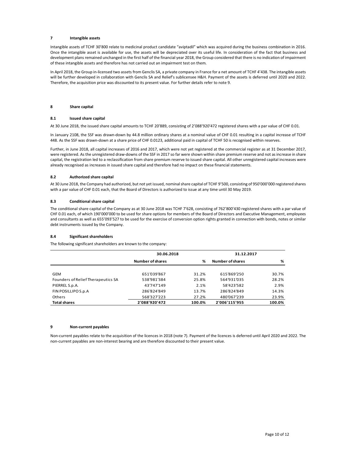#### 7 Intangible assets

Intangible assets of TCHF 30'800 relate to medicinal product candidate "aviptadil" which was acquired during the business combination in 2016. Once the intangible asset is available for use, the assets will be depreciated over its useful life. In consideration of the fact that business and development plans remained unchanged in the first half of the financial year 2018, the Group considered that there is no indication of impairment of these intangible assets and therefore has not carried out an impairment test on them.

In April 2018, the Group in-licensed two assets from Genclis SA, a private company in France for a net amount of TCHF 4'438. The intangible assets will be further developed in collaboration with Genclis SA and Relief's sublicensee H&H. Payment of the assets is deferred until 2020 and 2022. Therefore, the acquisition price was discounted to its present value. For further details refer to note 9.

#### 8 Share capital

#### 8.1 Issued share capital

At 30 June 2018, the issued share capital amounts to TCHF 20'889, consisting of 2'088'920'472 registered shares with a par value of CHF 0.01.

#### 8.2 Authorized share capital

#### 8.3 Conditional share capital

#### 8.4 Significant shareholders

|                                                                                                                                                                                                                                                                                                          | In January 2108, the SSF was drawn-down by 44.8 million ordinary shares at a nominal value of CHF 0.01 resulting in a capital increase of TCHF<br>448. As the SSF was drawn-down at a share price of CHF 0.0123, additional paid in capital of TCHF 50 is recognised within reserves.                                                                                                                                                                                                                                                                                            |       |                              |       |
|----------------------------------------------------------------------------------------------------------------------------------------------------------------------------------------------------------------------------------------------------------------------------------------------------------|----------------------------------------------------------------------------------------------------------------------------------------------------------------------------------------------------------------------------------------------------------------------------------------------------------------------------------------------------------------------------------------------------------------------------------------------------------------------------------------------------------------------------------------------------------------------------------|-------|------------------------------|-------|
|                                                                                                                                                                                                                                                                                                          | Further, in June 2018, all capital increases of 2016 and 2017, which were not yet registered at the commercial register as at 31 December 2017,<br>were registered. As the unregistered draw-downs of the SSF in 2017 so far were shown within share premium reserve and not as increase in share<br>capital, the registration led to a reclassification from share premium reserve to issued share capital. All other unregistered capital increases were<br>already recognised as increases in issued share capital and therefore had no impact on these financial statements. |       |                              |       |
| 8.2<br>Authorized share capital                                                                                                                                                                                                                                                                          |                                                                                                                                                                                                                                                                                                                                                                                                                                                                                                                                                                                  |       |                              |       |
|                                                                                                                                                                                                                                                                                                          | At 30 June 2018, the Company had authorized, but not yet issued, nominal share capital of TCHF 9'500, consisting of 950'000'000 registered shares<br>with a par value of CHF 0.01 each, that the Board of Directors is authorized to issue at any time until 30 May 2019.                                                                                                                                                                                                                                                                                                        |       |                              |       |
| 8.3<br><b>Conditional share capital</b>                                                                                                                                                                                                                                                                  |                                                                                                                                                                                                                                                                                                                                                                                                                                                                                                                                                                                  |       |                              |       |
|                                                                                                                                                                                                                                                                                                          | CHF 0.01 each, of which 190'000'000 to be used for share options for members of the Board of Directors and Executive Management, employees<br>and consultants as well as 655'093'527 to be used for the exercise of conversion option rights granted in connection with bonds, notes or similar                                                                                                                                                                                                                                                                                  |       |                              |       |
| The conditional share capital of the Company as at 30 June 2018 was TCHF 7'628, consisting of 762'800'430 registered shares with a par value of<br>debt instruments issued by the Company.<br>8.4<br><b>Significant shareholders</b><br>The following significant shareholders are known to the company: |                                                                                                                                                                                                                                                                                                                                                                                                                                                                                                                                                                                  |       |                              |       |
|                                                                                                                                                                                                                                                                                                          | 30.06.2018                                                                                                                                                                                                                                                                                                                                                                                                                                                                                                                                                                       |       | 31.12.2017                   |       |
|                                                                                                                                                                                                                                                                                                          | <b>Number of shares</b>                                                                                                                                                                                                                                                                                                                                                                                                                                                                                                                                                          | %     | <b>Number of shares</b>      | %     |
| GEM                                                                                                                                                                                                                                                                                                      | 651'039'867                                                                                                                                                                                                                                                                                                                                                                                                                                                                                                                                                                      | 31.2% | 615'869'250                  | 30.7% |
| Founders of Relief Therapeutics SA                                                                                                                                                                                                                                                                       | 538'981'384                                                                                                                                                                                                                                                                                                                                                                                                                                                                                                                                                                      | 25.8% | 564'931'035                  | 28.2% |
| PIERREL S.p.A.                                                                                                                                                                                                                                                                                           | 43'747'149                                                                                                                                                                                                                                                                                                                                                                                                                                                                                                                                                                       | 2.1%  | 58'423'582                   | 2.9%  |
| FIN POSILLIPO S.p.A                                                                                                                                                                                                                                                                                      | 286'824'849                                                                                                                                                                                                                                                                                                                                                                                                                                                                                                                                                                      | 13.7% | 286'824'849                  | 14.3% |
| Others<br><b>Total shares</b>                                                                                                                                                                                                                                                                            | 568'327'223<br>2'088'920'472                                                                                                                                                                                                                                                                                                                                                                                                                                                                                                                                                     | 27.2% | 480'067'239<br>2'006'115'955 | 23.9% |

#### 9 Non-current payables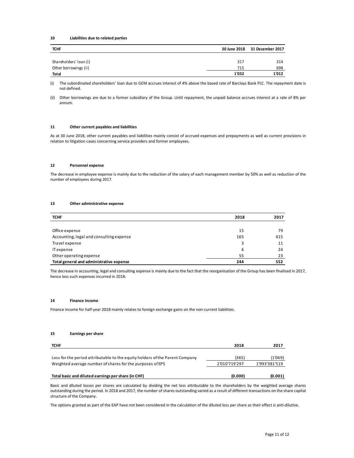#### 10 Liabilities due to related parties

| Liabilities due to related parties<br>10        |              |                  |
|-------------------------------------------------|--------------|------------------|
| <b>TCHF</b>                                     | 30 June 2018 | 31 December 2017 |
|                                                 | 317          | 314              |
| Shareholders' loan (i)<br>Other borrowings (ii) | 715          | 698              |

#### 11 Other current payables and liabilities

#### 12 Personnel expense

#### 13 Other administrative expense

| Total            |                                                                                                                                                                                                                                                                                                                                 | 1'032                  | 1'012                    |  |
|------------------|---------------------------------------------------------------------------------------------------------------------------------------------------------------------------------------------------------------------------------------------------------------------------------------------------------------------------------|------------------------|--------------------------|--|
| (i)              | The subordinated shareholders' loan due to GEM accrues interest of 4% above the based rate of Barclays Bank PLC. The repayment date is<br>not defined.                                                                                                                                                                          |                        |                          |  |
| (ii)             | Other borrowings are due to a former subsidiary of the Group. Until repayment, the unpaid balance accrues interest at a rate of 8% per<br>annum.                                                                                                                                                                                |                        |                          |  |
| 11               | Other current payables and liabilities                                                                                                                                                                                                                                                                                          |                        |                          |  |
|                  | As at 30 June 2018, other current payables and liabilities mainly consist of accrued expenses and prepayments as well as current provisions in<br>relation to litigation cases concerning service providers and former employees.                                                                                               |                        |                          |  |
| 12               | <b>Personnel expense</b>                                                                                                                                                                                                                                                                                                        |                        |                          |  |
|                  | The decrease in employee expense is mainly due to the reduction of the salary of each management member by 50% as well as reduction of the<br>number of employees during 2017.                                                                                                                                                  |                        |                          |  |
| 13               | Other administrative expense                                                                                                                                                                                                                                                                                                    |                        |                          |  |
| <b>TCHF</b>      |                                                                                                                                                                                                                                                                                                                                 | 2018                   | 2017                     |  |
|                  |                                                                                                                                                                                                                                                                                                                                 |                        |                          |  |
|                  | Office expense                                                                                                                                                                                                                                                                                                                  | 15                     | 79                       |  |
|                  | Accounting, legal and consulting expense                                                                                                                                                                                                                                                                                        | 165                    | 415                      |  |
|                  | Travel expense                                                                                                                                                                                                                                                                                                                  | 3                      | 11<br>24                 |  |
| <b>ITexpense</b> | Other operating expense                                                                                                                                                                                                                                                                                                         | 6<br>55                | 23                       |  |
|                  | Total general and administrative expense                                                                                                                                                                                                                                                                                        | 244                    | 552                      |  |
|                  | The decrease in accounting, legal and consulting expense is mainly due to the fact that the reorganisation of the Group has been finalised in 2017,<br>hence less such expenses incurred in 2018.                                                                                                                               |                        |                          |  |
| 14               | <b>Finance income</b>                                                                                                                                                                                                                                                                                                           |                        |                          |  |
|                  | Finance income for half-year 2018 mainly relates to foreign exchange gains on the non-current liabilities.                                                                                                                                                                                                                      |                        |                          |  |
| 15               | <b>Earnings per share</b>                                                                                                                                                                                                                                                                                                       |                        |                          |  |
| <b>TCHF</b>      |                                                                                                                                                                                                                                                                                                                                 | 2018                   | 2017                     |  |
|                  |                                                                                                                                                                                                                                                                                                                                 |                        |                          |  |
|                  | Loss for the period attributable to the equity holders of the Parent Company<br>Weighted average number of shares for the purposes of EPS                                                                                                                                                                                       | (365)<br>2'010'719'297 | (1'069)<br>1'993'381'519 |  |
|                  | Total basic and diluted earnings per share (in CHF)                                                                                                                                                                                                                                                                             | (0.000)                | (0.001)                  |  |
|                  | Basic and diluted losses per shares are calculated by dividing the net loss attributable to the shareholders by the weighted average shares<br>outstanding during the period. In 2018 and 2017, the number of shares outstanding varied as a result of different transactions on the share capital<br>structure of the Company. |                        |                          |  |
|                  | The options granted as part of the EAP have not been considered in the calculation of the diluted loss per share as their effect is anti-dilutive.                                                                                                                                                                              |                        |                          |  |

#### 14 Finance income

#### 15 Earnings per share

| TCHF                                                                         | 2018          | 2017          |
|------------------------------------------------------------------------------|---------------|---------------|
| Loss for the period attributable to the equity holders of the Parent Company | (365)         | (1'069)       |
| Weighted average number of shares for the purposes of EPS                    | 2'010'719'297 | 1'993'381'519 |
| Total basic and diluted earnings per share (in CHF)                          | (0.000)       | (0.001)       |